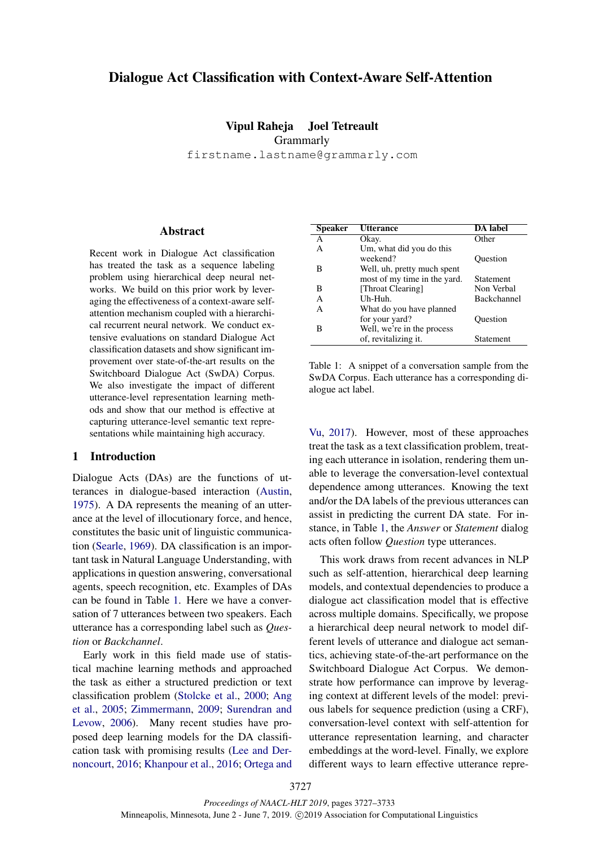# Dialogue Act Classification with Context-Aware Self-Attention

# Vipul Raheja Joel Tetreault Grammarly

firstname.lastname@grammarly.com

## **Abstract**

Recent work in Dialogue Act classification has treated the task as a sequence labeling problem using hierarchical deep neural networks. We build on this prior work by leveraging the effectiveness of a context-aware selfattention mechanism coupled with a hierarchical recurrent neural network. We conduct extensive evaluations on standard Dialogue Act classification datasets and show significant improvement over state-of-the-art results on the Switchboard Dialogue Act (SwDA) Corpus. We also investigate the impact of different utterance-level representation learning methods and show that our method is effective at capturing utterance-level semantic text representations while maintaining high accuracy.

### 1 Introduction

Dialogue Acts (DAs) are the functions of utterances in dialogue-based interaction [\(Austin,](#page-5-0) [1975\)](#page-5-0). A DA represents the meaning of an utterance at the level of illocutionary force, and hence, constitutes the basic unit of linguistic communication [\(Searle,](#page-6-0) [1969\)](#page-6-0). DA classification is an important task in Natural Language Understanding, with applications in question answering, conversational agents, speech recognition, etc. Examples of DAs can be found in Table [1.](#page-0-0) Here we have a conversation of 7 utterances between two speakers. Each utterance has a corresponding label such as *Question* or *Backchannel*.

Early work in this field made use of statistical machine learning methods and approached the task as either a structured prediction or text classification problem [\(Stolcke et al.,](#page-6-1) [2000;](#page-6-1) [Ang](#page-5-1) [et al.,](#page-5-1) [2005;](#page-5-1) [Zimmermann,](#page-6-2) [2009;](#page-6-2) [Surendran and](#page-6-3) [Levow,](#page-6-3) [2006\)](#page-6-3). Many recent studies have proposed deep learning models for the DA classification task with promising results [\(Lee and Der](#page-5-2)[noncourt,](#page-5-2) [2016;](#page-5-2) [Khanpour et al.,](#page-5-3) [2016;](#page-5-3) [Ortega and](#page-5-4)

<span id="page-0-0"></span>

| <b>Speaker</b> | Utterance                    | <b>DA</b> label |
|----------------|------------------------------|-----------------|
| А              | Okay.                        | Other           |
| A              | Um, what did you do this     |                 |
|                | weekend?                     | Ouestion        |
| В              | Well, uh, pretty much spent  |                 |
|                | most of my time in the yard. | Statement       |
| В              | [Throat Clearing]            | Non Verbal      |
| А              | Uh-Huh.                      | Backchannel     |
| A              | What do you have planned     |                 |
|                | for your yard?               | Question        |
| В              | Well, we're in the process   |                 |
|                | of, revitalizing it.         | Statement       |

Table 1: A snippet of a conversation sample from the SwDA Corpus. Each utterance has a corresponding dialogue act label.

[Vu,](#page-5-4) [2017\)](#page-5-4). However, most of these approaches treat the task as a text classification problem, treating each utterance in isolation, rendering them unable to leverage the conversation-level contextual dependence among utterances. Knowing the text and/or the DA labels of the previous utterances can assist in predicting the current DA state. For instance, in Table [1,](#page-0-0) the *Answer* or *Statement* dialog acts often follow *Question* type utterances.

This work draws from recent advances in NLP such as self-attention, hierarchical deep learning models, and contextual dependencies to produce a dialogue act classification model that is effective across multiple domains. Specifically, we propose a hierarchical deep neural network to model different levels of utterance and dialogue act semantics, achieving state-of-the-art performance on the Switchboard Dialogue Act Corpus. We demonstrate how performance can improve by leveraging context at different levels of the model: previous labels for sequence prediction (using a CRF), conversation-level context with self-attention for utterance representation learning, and character embeddings at the word-level. Finally, we explore different ways to learn effective utterance repre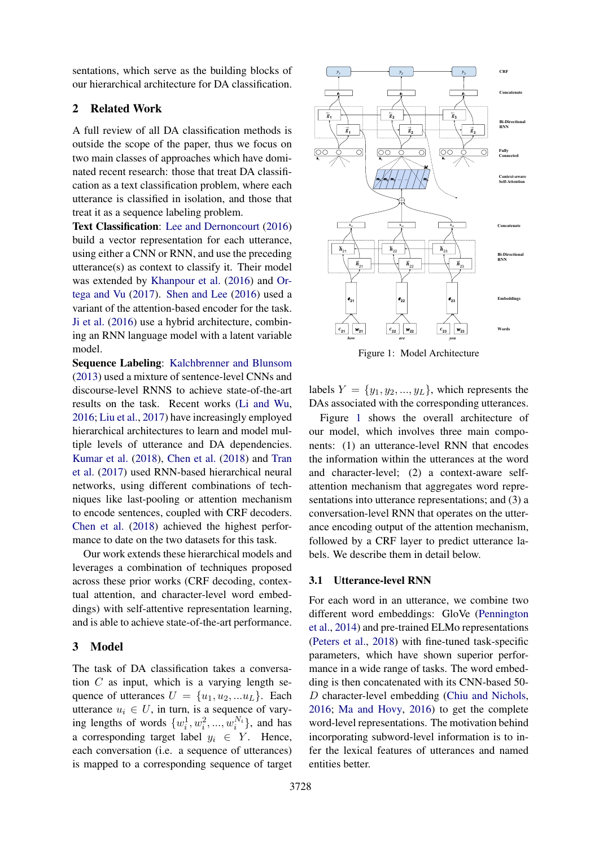sentations, which serve as the building blocks of our hierarchical architecture for DA classification.

# 2 Related Work

A full review of all DA classification methods is outside the scope of the paper, thus we focus on two main classes of approaches which have dominated recent research: those that treat DA classification as a text classification problem, where each utterance is classified in isolation, and those that treat it as a sequence labeling problem.

Text Classification: [Lee and Dernoncourt](#page-5-2) [\(2016\)](#page-5-2) build a vector representation for each utterance, using either a CNN or RNN, and use the preceding utterance(s) as context to classify it. Their model was extended by [Khanpour et al.](#page-5-3) [\(2016\)](#page-5-3) and [Or](#page-5-4)[tega and Vu](#page-5-4) [\(2017\)](#page-5-4). [Shen and Lee](#page-6-4) [\(2016\)](#page-6-4) used a variant of the attention-based encoder for the task. [Ji et al.](#page-5-5) [\(2016\)](#page-5-5) use a hybrid architecture, combining an RNN language model with a latent variable model.

Sequence Labeling: [Kalchbrenner and Blunsom](#page-5-6) [\(2013\)](#page-5-6) used a mixture of sentence-level CNNs and discourse-level RNNS to achieve state-of-the-art results on the task. Recent works [\(Li and Wu,](#page-5-7) [2016;](#page-5-7) [Liu et al.,](#page-5-8) [2017\)](#page-5-8) have increasingly employed hierarchical architectures to learn and model multiple levels of utterance and DA dependencies. [Kumar et al.](#page-5-9) [\(2018\)](#page-5-9), [Chen et al.](#page-5-10) [\(2018\)](#page-5-10) and [Tran](#page-6-5) [et al.](#page-6-5) [\(2017\)](#page-6-5) used RNN-based hierarchical neural networks, using different combinations of techniques like last-pooling or attention mechanism to encode sentences, coupled with CRF decoders. [Chen et al.](#page-5-10) [\(2018\)](#page-5-10) achieved the highest performance to date on the two datasets for this task.

Our work extends these hierarchical models and leverages a combination of techniques proposed across these prior works (CRF decoding, contextual attention, and character-level word embeddings) with self-attentive representation learning, and is able to achieve state-of-the-art performance.

### 3 Model

The task of DA classification takes a conversation  $C$  as input, which is a varying length sequence of utterances  $U = \{u_1, u_2, ... u_L\}$ . Each utterance  $u_i \in U$ , in turn, is a sequence of varying lengths of words  $\{w_i^1, w_i^2, ..., w_i^{N_i}\}$ , and has a corresponding target label  $y_i \in Y$ . Hence, each conversation (i.e. a sequence of utterances) is mapped to a corresponding sequence of target

<span id="page-1-0"></span>

Figure 1: Model Architecture

labels  $Y = \{y_1, y_2, ..., y_L\}$ , which represents the DAs associated with the corresponding utterances.

Figure [1](#page-1-0) shows the overall architecture of our model, which involves three main components: (1) an utterance-level RNN that encodes the information within the utterances at the word and character-level; (2) a context-aware selfattention mechanism that aggregates word representations into utterance representations; and (3) a conversation-level RNN that operates on the utterance encoding output of the attention mechanism, followed by a CRF layer to predict utterance labels. We describe them in detail below.

### 3.1 Utterance-level RNN

For each word in an utterance, we combine two different word embeddings: GloVe [\(Pennington](#page-5-11) [et al.,](#page-5-11) [2014\)](#page-5-11) and pre-trained ELMo representations [\(Peters et al.,](#page-5-12) [2018\)](#page-5-12) with fine-tuned task-specific parameters, which have shown superior performance in a wide range of tasks. The word embedding is then concatenated with its CNN-based 50- D character-level embedding [\(Chiu and Nichols,](#page-5-13) [2016;](#page-5-13) [Ma and Hovy,](#page-5-14) [2016\)](#page-5-14) to get the complete word-level representations. The motivation behind incorporating subword-level information is to infer the lexical features of utterances and named entities better.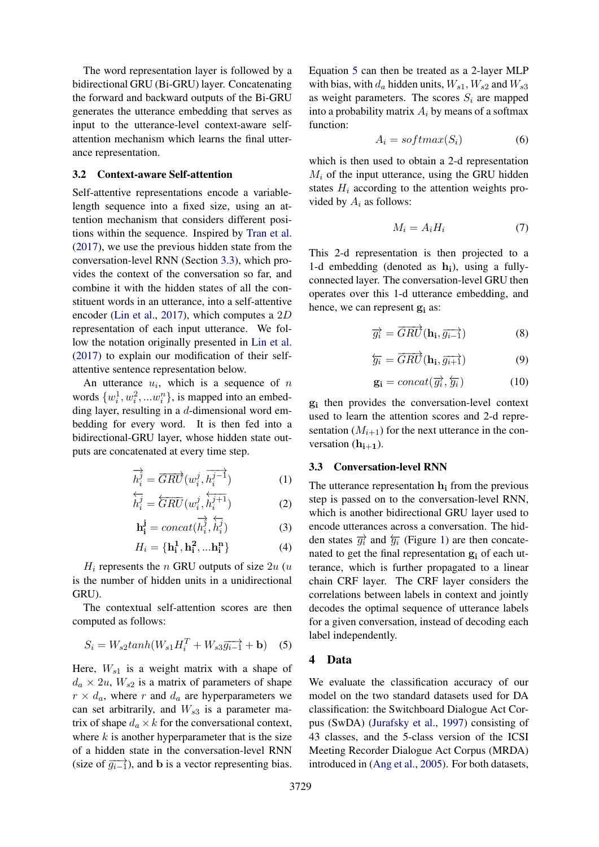The word representation layer is followed by a bidirectional GRU (Bi-GRU) layer. Concatenating the forward and backward outputs of the Bi-GRU generates the utterance embedding that serves as input to the utterance-level context-aware selfattention mechanism which learns the final utterance representation.

### 3.2 Context-aware Self-attention

Self-attentive representations encode a variablelength sequence into a fixed size, using an attention mechanism that considers different positions within the sequence. Inspired by [Tran et al.](#page-6-5) [\(2017\)](#page-6-5), we use the previous hidden state from the conversation-level RNN (Section [3.3\)](#page-2-0), which provides the context of the conversation so far, and combine it with the hidden states of all the constituent words in an utterance, into a self-attentive encoder [\(Lin et al.,](#page-5-15) [2017\)](#page-5-15), which computes a 2D representation of each input utterance. We follow the notation originally presented in [Lin et al.](#page-5-15) [\(2017\)](#page-5-15) to explain our modification of their selfattentive sentence representation below.

An utterance  $u_i$ , which is a sequence of n words  $\{w_i^1, w_i^2, ... w_i^n\}$ , is mapped into an embedding layer, resulting in a d-dimensional word embedding for every word. It is then fed into a bidirectional-GRU layer, whose hidden state outputs are concatenated at every time step.

$$
\overrightarrow{h_i^j} = \overrightarrow{GRU}(w_i^j, \overrightarrow{h_i^{j-1}})
$$
 (1)

$$
\overleftarrow{h_i^j} = \overleftarrow{GRU}(w_i^j, \overleftarrow{h_i^{j+1}}) \tag{2}
$$

$$
\mathbf{h}_{\mathbf{i}}^{\mathbf{j}} = concat(\overrightarrow{h_i^j}, \overleftarrow{h_i^j})
$$
 (3)

$$
H_i = {\mathbf{h_i^1, h_i^2, ... h_i^n}}
$$
 (4)

 $H_i$  represents the n GRU outputs of size 2u (u is the number of hidden units in a unidirectional GRU).

The contextual self-attention scores are then computed as follows:

<span id="page-2-1"></span>
$$
S_i = W_{s2} \tanh(W_{s1} H_i^T + W_{s3} \overrightarrow{g_{i-1}} + \mathbf{b}) \quad (5)
$$

Here,  $W_{s1}$  is a weight matrix with a shape of  $d_a \times 2u$ ,  $W_{s2}$  is a matrix of parameters of shape  $r \times d_a$ , where r and  $d_a$  are hyperparameters we can set arbitrarily, and  $W_{s3}$  is a parameter matrix of shape  $d_a \times k$  for the conversational context, where  $k$  is another hyperparameter that is the size of a hidden state in the conversation-level RNN (size of  $\overrightarrow{g_{i-1}}$ ), and b is a vector representing bias.

Equation [5](#page-2-1) can then be treated as a 2-layer MLP with bias, with  $d_a$  hidden units,  $W_{s1}$ ,  $W_{s2}$  and  $W_{s3}$ as weight parameters. The scores  $S_i$  are mapped into a probability matrix  $A_i$  by means of a softmax function:

$$
A_i = softmax(S_i) \tag{6}
$$

which is then used to obtain a 2-d representation  $M_i$  of the input utterance, using the GRU hidden states  $H_i$  according to the attention weights provided by  $A_i$  as follows:

$$
M_i = A_i H_i \tag{7}
$$

This 2-d representation is then projected to a 1-d embedding (denoted as  $h_i$ ), using a fullyconnected layer. The conversation-level GRU then operates over this 1-d utterance embedding, and hence, we can represent  $g_i$  as:

$$
\overrightarrow{g_i} = \overrightarrow{GRU}(\mathbf{h_i}, \overrightarrow{g_{i-1}})
$$
 (8)

$$
\overleftarrow{g_i} = \overrightarrow{GRU}(\mathbf{h_i}, \overrightarrow{g_{i+1}}) \tag{9}
$$

$$
\mathbf{g_i} = concat(\overrightarrow{g_i}, \overleftarrow{g_i}) \tag{10}
$$

gi then provides the conversation-level context used to learn the attention scores and 2-d representation  $(M_{i+1})$  for the next utterance in the conversation  $(h_{i+1})$ .

### <span id="page-2-0"></span>3.3 Conversation-level RNN

The utterance representation  $h_i$  from the previous step is passed on to the conversation-level RNN, which is another bidirectional GRU layer used to encode utterances across a conversation. The hidden states  $\overrightarrow{g_i}$  and  $\overleftarrow{g_i}$  (Figure [1\)](#page-1-0) are then concatenated to get the final representation g<sup>i</sup> of each utterance, which is further propagated to a linear chain CRF layer. The CRF layer considers the correlations between labels in context and jointly decodes the optimal sequence of utterance labels for a given conversation, instead of decoding each label independently.

# 4 Data

We evaluate the classification accuracy of our model on the two standard datasets used for DA classification: the Switchboard Dialogue Act Corpus (SwDA) [\(Jurafsky et al.,](#page-5-16) [1997\)](#page-5-16) consisting of 43 classes, and the 5-class version of the ICSI Meeting Recorder Dialogue Act Corpus (MRDA) introduced in [\(Ang et al.,](#page-5-1) [2005\)](#page-5-1). For both datasets,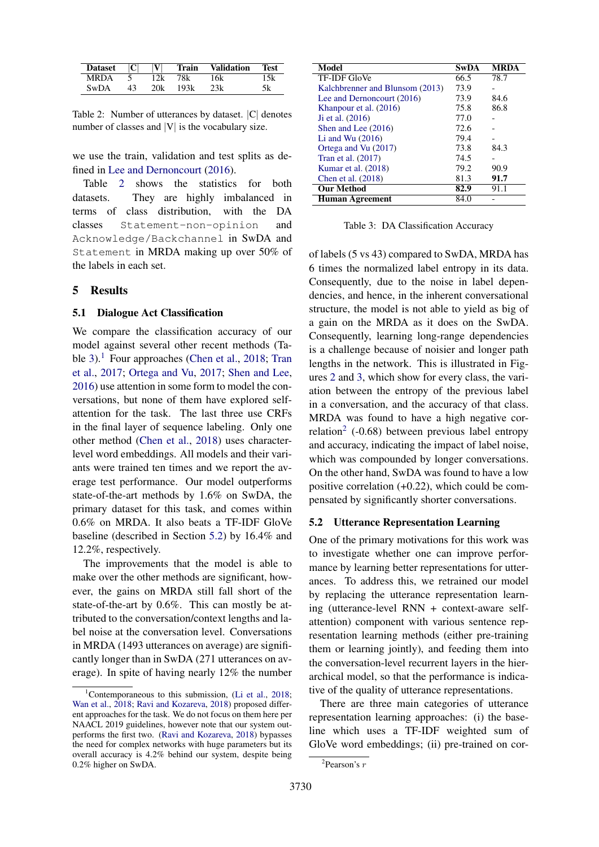<span id="page-3-0"></span>

| <b>Dataset</b> | $\mathbf{C}^{\prime}$ |     | $\overline{\text{train}}$ | <b>Validation</b> | <b>Test</b> |
|----------------|-----------------------|-----|---------------------------|-------------------|-------------|
| MRDA           |                       |     | 78k                       | .6k               |             |
| SwDA           |                       | 20k | 193k                      |                   |             |

Table 2: Number of utterances by dataset. |C| denotes number of classes and  $|V|$  is the vocabulary size.

we use the train, validation and test splits as defined in [Lee and Dernoncourt](#page-5-2) [\(2016\)](#page-5-2).

Table [2](#page-3-0) shows the statistics for both datasets. They are highly imbalanced in terms of class distribution, with the DA classes Statement-non-opinion and Acknowledge/Backchannel in SwDA and Statement in MRDA making up over 50% of the labels in each set.

## 5 Results

#### 5.1 Dialogue Act Classification

We compare the classification accuracy of our model against several other recent methods (Ta-ble [3\)](#page-3-1).<sup>[1](#page-3-2)</sup> Four approaches [\(Chen et al.,](#page-5-10) [2018;](#page-5-10) [Tran](#page-6-5) [et al.,](#page-6-5) [2017;](#page-6-5) [Ortega and Vu,](#page-5-4) [2017;](#page-5-4) [Shen and Lee,](#page-6-4) [2016\)](#page-6-4) use attention in some form to model the conversations, but none of them have explored selfattention for the task. The last three use CRFs in the final layer of sequence labeling. Only one other method [\(Chen et al.,](#page-5-10) [2018\)](#page-5-10) uses characterlevel word embeddings. All models and their variants were trained ten times and we report the average test performance. Our model outperforms state-of-the-art methods by 1.6% on SwDA, the primary dataset for this task, and comes within 0.6% on MRDA. It also beats a TF-IDF GloVe baseline (described in Section [5.2\)](#page-3-3) by 16.4% and 12.2%, respectively.

The improvements that the model is able to make over the other methods are significant, however, the gains on MRDA still fall short of the state-of-the-art by 0.6%. This can mostly be attributed to the conversation/context lengths and label noise at the conversation level. Conversations in MRDA (1493 utterances on average) are significantly longer than in SwDA (271 utterances on average). In spite of having nearly 12% the number

<span id="page-3-1"></span>

| Model                           | $SwD\overline{A}$ | <b>MRDA</b> |
|---------------------------------|-------------------|-------------|
| <b>TF-IDF GloVe</b>             | 66.5              | 78.7        |
| Kalchbrenner and Blunsom (2013) | 73.9              |             |
| Lee and Dernoncourt (2016)      | 73.9              | 84.6        |
| Khanpour et al. (2016)          | 75.8              | 86.8        |
| Ji et al. (2016)                | 77.0              |             |
| Shen and Lee $(2016)$           | 72.6              |             |
| Li and Wu $(2016)$              | 79.4              |             |
| Ortega and Vu (2017)            | 73.8              | 84.3        |
| Tran et al. (2017)              | 74.5              |             |
| Kumar et al. $(2018)$           | 79.2              | 90.9        |
| Chen et al. (2018)              | 81.3              | 91.7        |
| <b>Our Method</b>               | 82.9              | 91.1        |
| Human Agreement                 | 84.0              |             |

Table 3: DA Classification Accuracy

of labels (5 vs 43) compared to SwDA, MRDA has 6 times the normalized label entropy in its data. Consequently, due to the noise in label dependencies, and hence, in the inherent conversational structure, the model is not able to yield as big of a gain on the MRDA as it does on the SwDA. Consequently, learning long-range dependencies is a challenge because of noisier and longer path lengths in the network. This is illustrated in Figures [2](#page-4-0) and [3,](#page-4-1) which show for every class, the variation between the entropy of the previous label in a conversation, and the accuracy of that class. MRDA was found to have a high negative cor-relation<sup>[2](#page-3-4)</sup> (-0.68) between previous label entropy and accuracy, indicating the impact of label noise, which was compounded by longer conversations. On the other hand, SwDA was found to have a low positive correlation (+0.22), which could be compensated by significantly shorter conversations.

### <span id="page-3-3"></span>5.2 Utterance Representation Learning

One of the primary motivations for this work was to investigate whether one can improve performance by learning better representations for utterances. To address this, we retrained our model by replacing the utterance representation learning (utterance-level RNN + context-aware selfattention) component with various sentence representation learning methods (either pre-training them or learning jointly), and feeding them into the conversation-level recurrent layers in the hierarchical model, so that the performance is indicative of the quality of utterance representations.

There are three main categories of utterance representation learning approaches: (i) the baseline which uses a TF-IDF weighted sum of GloVe word embeddings; (ii) pre-trained on cor-

<span id="page-3-2"></span><sup>&</sup>lt;sup>1</sup>Contemporaneous to this submission, [\(Li et al.,](#page-5-17) [2018;](#page-5-17) [Wan et al.,](#page-6-6) [2018;](#page-6-6) [Ravi and Kozareva,](#page-6-7) [2018\)](#page-6-7) proposed different approaches for the task. We do not focus on them here per NAACL 2019 guidelines, however note that our system outperforms the first two. [\(Ravi and Kozareva,](#page-6-7) [2018\)](#page-6-7) bypasses the need for complex networks with huge parameters but its overall accuracy is 4.2% behind our system, despite being 0.2% higher on SwDA.

<span id="page-3-4"></span> $2$ Pearson's  $r$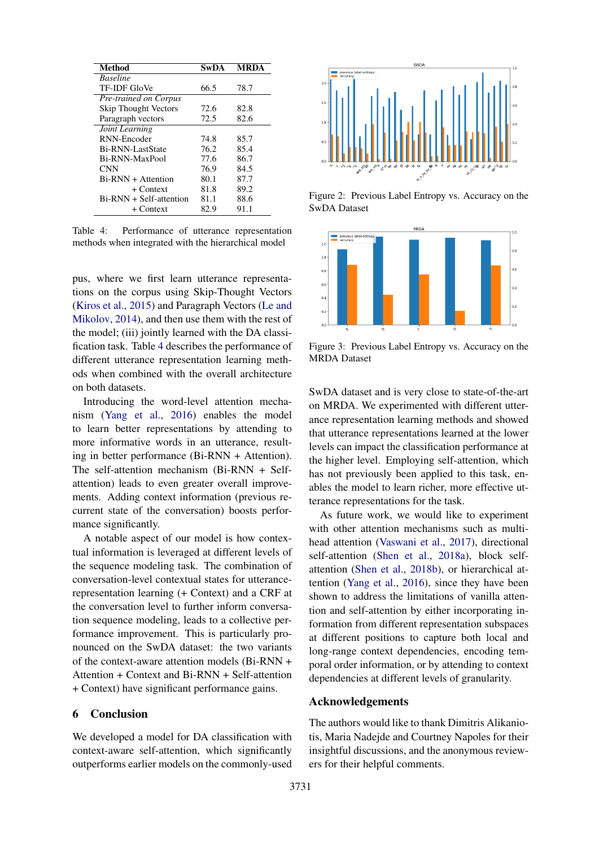<span id="page-4-2"></span>

| <b>Method</b>                | <b>SwDA</b> | MRDA |
|------------------------------|-------------|------|
| <b>Baseline</b>              |             |      |
| <b>TF-IDF GloVe</b>          | 66.5        | 78.7 |
| <b>Pre-trained on Corpus</b> |             |      |
| <b>Skip Thought Vectors</b>  | 72.6        | 82.8 |
| Paragraph vectors            | 72.5        | 82.6 |
| Joint Learning               |             |      |
| RNN-Encoder                  | 74.8        | 85.7 |
| Bi-RNN-LastState             | 76.2        | 85.4 |
| Bi-RNN-MaxPool               | 77.6        | 86.7 |
| <b>CNN</b>                   | 76.9        | 84.5 |
| $Bi-RNN + Attention$         | 80.1        | 87.7 |
| + Context                    | 81.8        | 89.2 |
| $Bi-RNN + Self-attention$    | 81.1        | 88.6 |
| $+$ Context                  | 82.9        | 91.1 |

Table 4: Performance of utterance representation methods when integrated with the hierarchical model

pus, where we first learn utterance representations on the corpus using Skip-Thought Vectors [\(Kiros et al.,](#page-5-18) [2015\)](#page-5-18) and Paragraph Vectors [\(Le and](#page-5-19) [Mikolov,](#page-5-19) [2014\)](#page-5-19), and then use them with the rest of the model; (iii) jointly learned with the DA classification task. Table [4](#page-4-2) describes the performance of different utterance representation learning methods when combined with the overall architecture on both datasets.

Introducing the word-level attention mechanism [\(Yang et al.,](#page-6-8) [2016\)](#page-6-8) enables the model to learn better representations by attending to more informative words in an utterance, resulting in better performance (Bi-RNN + Attention). The self-attention mechanism (Bi-RNN + Selfattention) leads to even greater overall improvements. Adding context information (previous recurrent state of the conversation) boosts performance significantly.

A notable aspect of our model is how contextual information is leveraged at different levels of the sequence modeling task. The combination of conversation-level contextual states for utterancerepresentation learning (+ Context) and a CRF at the conversation level to further inform conversation sequence modeling, leads to a collective performance improvement. This is particularly pronounced on the SwDA dataset: the two variants of the context-aware attention models (Bi-RNN + Attention + Context and Bi-RNN + Self-attention + Context) have significant performance gains.

### 6 Conclusion

We developed a model for DA classification with context-aware self-attention, which significantly outperforms earlier models on the commonly-used

<span id="page-4-0"></span>

Figure 2: Previous Label Entropy vs. Accuracy on the SwDA Dataset

<span id="page-4-1"></span>

Figure 3: Previous Label Entropy vs. Accuracy on the MRDA Dataset

SwDA dataset and is very close to state-of-the-art on MRDA. We experimented with different utterance representation learning methods and showed that utterance representations learned at the lower levels can impact the classification performance at the higher level. Employing self-attention, which has not previously been applied to this task, enables the model to learn richer, more effective utterance representations for the task.

As future work, we would like to experiment with other attention mechanisms such as multihead attention [\(Vaswani et al.,](#page-6-9) [2017\)](#page-6-9), directional self-attention [\(Shen et al.,](#page-6-10) [2018a\)](#page-6-10), block selfattention [\(Shen et al.,](#page-6-11) [2018b\)](#page-6-11), or hierarchical attention [\(Yang et al.,](#page-6-8) [2016\)](#page-6-8), since they have been shown to address the limitations of vanilla attention and self-attention by either incorporating information from different representation subspaces at different positions to capture both local and long-range context dependencies, encoding temporal order information, or by attending to context dependencies at different levels of granularity.

### Acknowledgements

The authors would like to thank Dimitris Alikaniotis, Maria Nadejde and Courtney Napoles for their insightful discussions, and the anonymous reviewers for their helpful comments.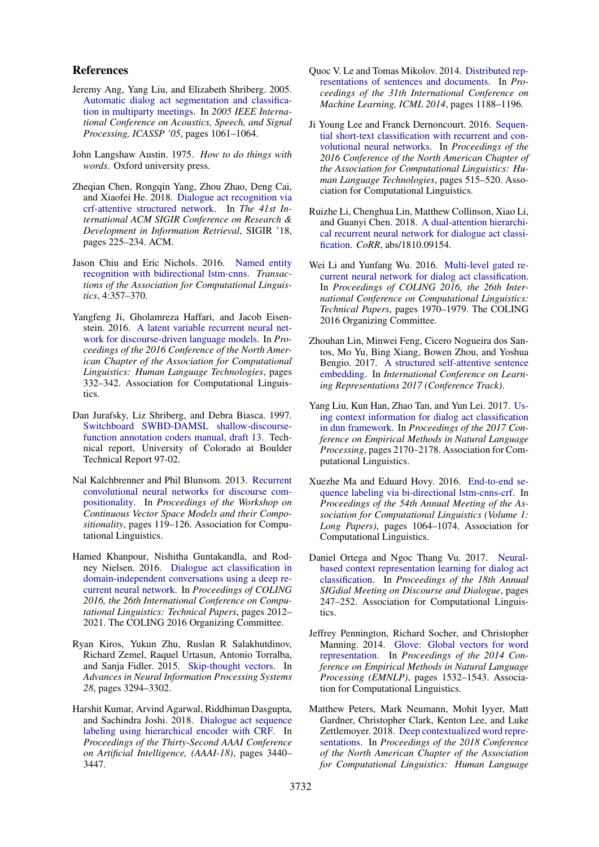### References

- <span id="page-5-1"></span>Jeremy Ang, Yang Liu, and Elizabeth Shriberg. 2005. [Automatic dialog act segmentation and classifica](https://doi.org/10.1109/ICASSP.2005.1415300)[tion in multiparty meetings.](https://doi.org/10.1109/ICASSP.2005.1415300) In *2005 IEEE International Conference on Acoustics, Speech, and Signal Processing, ICASSP '05*, pages 1061–1064.
- <span id="page-5-0"></span>John Langshaw Austin. 1975. *How to do things with words*. Oxford university press.
- <span id="page-5-10"></span>Zheqian Chen, Rongqin Yang, Zhou Zhao, Deng Cai, and Xiaofei He. 2018. [Dialogue act recognition via](https://doi.org/10.1145/3209978.3209997) [crf-attentive structured network.](https://doi.org/10.1145/3209978.3209997) In *The 41st International ACM SIGIR Conference on Research & Development in Information Retrieval*, SIGIR '18, pages 225–234. ACM.
- <span id="page-5-13"></span>Jason Chiu and Eric Nichols. 2016. [Named entity](http://aclweb.org/anthology/Q16-1026) [recognition with bidirectional lstm-cnns.](http://aclweb.org/anthology/Q16-1026) *Transactions of the Association for Computational Linguistics*, 4:357–370.
- <span id="page-5-5"></span>Yangfeng Ji, Gholamreza Haffari, and Jacob Eisenstein. 2016. [A latent variable recurrent neural net](https://doi.org/10.18653/v1/N16-1037)[work for discourse-driven language models.](https://doi.org/10.18653/v1/N16-1037) In *Proceedings of the 2016 Conference of the North American Chapter of the Association for Computational Linguistics: Human Language Technologies*, pages 332–342. Association for Computational Linguistics.
- <span id="page-5-16"></span>Dan Jurafsky, Liz Shriberg, and Debra Biasca. 1997. [Switchboard SWBD-DAMSL shallow-discourse](http://www.stanford.edu/~jurafsky/ws97/manual.august1.html)[function annotation coders manual, draft 13.](http://www.stanford.edu/~jurafsky/ws97/manual.august1.html) Technical report, University of Colorado at Boulder Technical Report 97-02.
- <span id="page-5-6"></span>Nal Kalchbrenner and Phil Blunsom. 2013. [Recurrent](http://aclweb.org/anthology/W13-3214) [convolutional neural networks for discourse com](http://aclweb.org/anthology/W13-3214)[positionality.](http://aclweb.org/anthology/W13-3214) In *Proceedings of the Workshop on Continuous Vector Space Models and their Compositionality*, pages 119–126. Association for Computational Linguistics.
- <span id="page-5-3"></span>Hamed Khanpour, Nishitha Guntakandla, and Rodney Nielsen. 2016. [Dialogue act classification in](http://aclweb.org/anthology/C16-1189) [domain-independent conversations using a deep re](http://aclweb.org/anthology/C16-1189)[current neural network.](http://aclweb.org/anthology/C16-1189) In *Proceedings of COLING 2016, the 26th International Conference on Computational Linguistics: Technical Papers*, pages 2012– 2021. The COLING 2016 Organizing Committee.
- <span id="page-5-18"></span>Ryan Kiros, Yukun Zhu, Ruslan R Salakhutdinov, Richard Zemel, Raquel Urtasun, Antonio Torralba, and Sanja Fidler. 2015. [Skip-thought vectors.](http://papers.nips.cc/paper/5950-skip-thought-vectors.pdf) In *Advances in Neural Information Processing Systems 28*, pages 3294–3302.
- <span id="page-5-9"></span>Harshit Kumar, Arvind Agarwal, Riddhiman Dasgupta, and Sachindra Joshi. 2018. [Dialogue act sequence](https://www.aaai.org/ocs/index.php/AAAI/AAAI18/paper/view/16706) [labeling using hierarchical encoder with CRF.](https://www.aaai.org/ocs/index.php/AAAI/AAAI18/paper/view/16706) In *Proceedings of the Thirty-Second AAAI Conference on Artificial Intelligence, (AAAI-18)*, pages 3440– 3447.
- <span id="page-5-19"></span>Quoc V. Le and Tomas Mikolov. 2014. [Distributed rep](http://jmlr.org/proceedings/papers/v32/le14.html)[resentations of sentences and documents.](http://jmlr.org/proceedings/papers/v32/le14.html) In *Proceedings of the 31th International Conference on Machine Learning, ICML 2014*, pages 1188–1196.
- <span id="page-5-2"></span>Ji Young Lee and Franck Dernoncourt. 2016. [Sequen](https://doi.org/10.18653/v1/N16-1062)[tial short-text classification with recurrent and con](https://doi.org/10.18653/v1/N16-1062)[volutional neural networks.](https://doi.org/10.18653/v1/N16-1062) In *Proceedings of the 2016 Conference of the North American Chapter of the Association for Computational Linguistics: Human Language Technologies*, pages 515–520. Association for Computational Linguistics.
- <span id="page-5-17"></span>Ruizhe Li, Chenghua Lin, Matthew Collinson, Xiao Li, and Guanyi Chen. 2018. [A dual-attention hierarchi](http://arxiv.org/abs/1810.09154)[cal recurrent neural network for dialogue act classi](http://arxiv.org/abs/1810.09154)[fication.](http://arxiv.org/abs/1810.09154) *CoRR*, abs/1810.09154.
- <span id="page-5-7"></span>Wei Li and Yunfang Wu. 2016. [Multi-level gated re](http://aclweb.org/anthology/C16-1185)[current neural network for dialog act classification.](http://aclweb.org/anthology/C16-1185) In *Proceedings of COLING 2016, the 26th International Conference on Computational Linguistics: Technical Papers*, pages 1970–1979. The COLING 2016 Organizing Committee.
- <span id="page-5-15"></span>Zhouhan Lin, Minwei Feng, Cicero Nogueira dos Santos, Mo Yu, Bing Xiang, Bowen Zhou, and Yoshua Bengio. 2017. [A structured self-attentive sentence](https://openreview.net/forum?id=BJC_jUqxe) [embedding.](https://openreview.net/forum?id=BJC_jUqxe) In *International Conference on Learning Representations 2017 (Conference Track)*.
- <span id="page-5-8"></span>Yang Liu, Kun Han, Zhao Tan, and Yun Lei. 2017. [Us](https://doi.org/10.18653/v1/D17-1231)[ing context information for dialog act classification](https://doi.org/10.18653/v1/D17-1231) [in dnn framework.](https://doi.org/10.18653/v1/D17-1231) In *Proceedings of the 2017 Conference on Empirical Methods in Natural Language Processing*, pages 2170–2178. Association for Computational Linguistics.
- <span id="page-5-14"></span>Xuezhe Ma and Eduard Hovy. 2016. [End-to-end se](https://doi.org/10.18653/v1/P16-1101)[quence labeling via bi-directional lstm-cnns-crf.](https://doi.org/10.18653/v1/P16-1101) In *Proceedings of the 54th Annual Meeting of the Association for Computational Linguistics (Volume 1: Long Papers)*, pages 1064–1074. Association for Computational Linguistics.
- <span id="page-5-4"></span>Daniel Ortega and Ngoc Thang Vu. 2017. [Neural](https://doi.org/10.18653/v1/W17-5530)[based context representation learning for dialog act](https://doi.org/10.18653/v1/W17-5530) [classification.](https://doi.org/10.18653/v1/W17-5530) In *Proceedings of the 18th Annual SIGdial Meeting on Discourse and Dialogue*, pages 247–252. Association for Computational Linguistics.
- <span id="page-5-11"></span>Jeffrey Pennington, Richard Socher, and Christopher Manning. 2014. [Glove: Global vectors for word](http://www.aclweb.org/anthology/D14-1162) [representation.](http://www.aclweb.org/anthology/D14-1162) In *Proceedings of the 2014 Conference on Empirical Methods in Natural Language Processing (EMNLP)*, pages 1532–1543. Association for Computational Linguistics.
- <span id="page-5-12"></span>Matthew Peters, Mark Neumann, Mohit Iyyer, Matt Gardner, Christopher Clark, Kenton Lee, and Luke Zettlemoyer. 2018. [Deep contextualized word repre](https://doi.org/10.18653/v1/N18-1202)[sentations.](https://doi.org/10.18653/v1/N18-1202) In *Proceedings of the 2018 Conference of the North American Chapter of the Association for Computational Linguistics: Human Language*